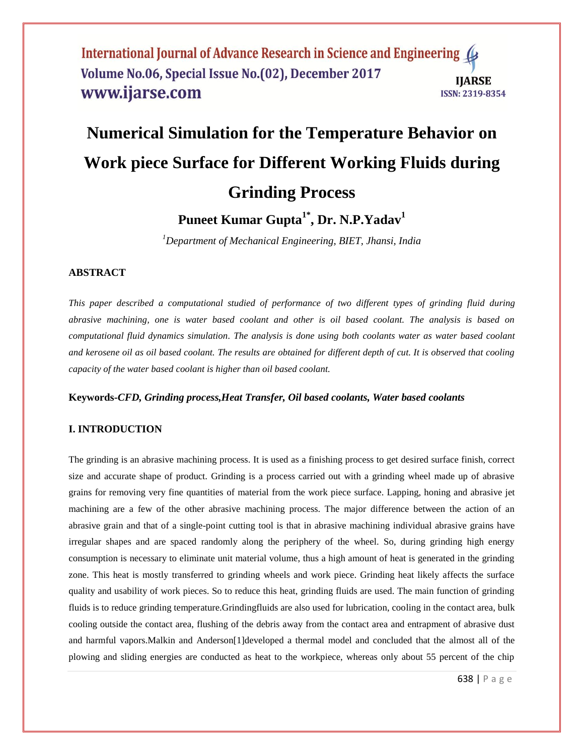#### International Journal of Advance Research in Science and Engineering ( Volume No.06, Special Issue No.(02), December 2017 **IIARSE** www.ijarse.com **ISSN: 2319-8354**

# **Numerical Simulation for the Temperature Behavior on Work piece Surface for Different Working Fluids during Grinding Process**

**Puneet Kumar Gupta1\* , Dr. N.P.Yadav<sup>1</sup>**

*<sup>1</sup>Department of Mechanical Engineering, BIET, Jhansi, India*

# **ABSTRACT**

*This paper described a computational studied of performance of two different types of grinding fluid during abrasive machining, one is water based coolant and other is oil based coolant. The analysis is based on computational fluid dynamics simulation. The analysis is done using both coolants water as water based coolant and kerosene oil as oil based coolant. The results are obtained for different depth of cut. It is observed that cooling capacity of the water based coolant is higher than oil based coolant.*

#### **Keywords-***CFD, Grinding process,Heat Transfer, Oil based coolants, Water based coolants*

# **I. INTRODUCTION**

The grinding is an abrasive machining process. It is used as a finishing process to get desired surface finish, correct size and accurate shape of product. Grinding is a process carried out with a grinding wheel made up of abrasive grains for removing very fine quantities of material from the work piece surface. Lapping, honing and abrasive jet machining are a few of the other abrasive machining process. The major difference between the action of an abrasive grain and that of a single-point cutting tool is that in abrasive machining individual abrasive grains have irregular shapes and are spaced randomly along the periphery of the wheel. So, during grinding high energy consumption is necessary to eliminate unit material volume, thus a high amount of heat is generated in the grinding zone. This heat is mostly transferred to grinding wheels and work piece. Grinding heat likely affects the surface quality and usability of work pieces. So to reduce this heat, grinding fluids are used. The main function of grinding fluids is to reduce grinding temperature.Grindingfluids are also used for lubrication, cooling in the contact area, bulk cooling outside the contact area, flushing of the debris away from the contact area and entrapment of abrasive dust and harmful vapors.Malkin and Anderson[1]developed a thermal model and concluded that the almost all of the plowing and sliding energies are conducted as heat to the workpiece, whereas only about 55 percent of the chip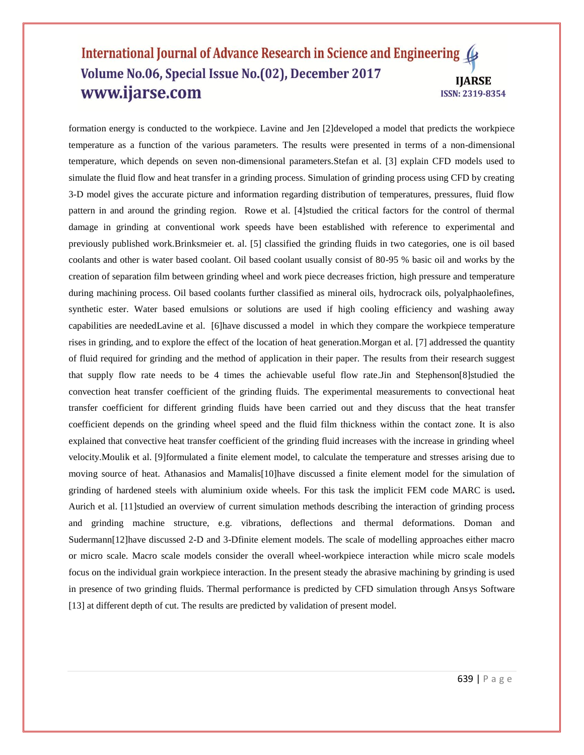#### International Journal of Advance Research in Science and Engineering Volume No.06, Special Issue No.(02), December 2017 **IIARSE** www.ijarse.com **ISSN: 2319-8354**

formation energy is conducted to the workpiece. Lavine and Jen [2]developed a model that predicts the workpiece temperature as a function of the various parameters. The results were presented in terms of a non-dimensional temperature, which depends on seven non-dimensional parameters.Stefan et al. [3] explain CFD models used to simulate the fluid flow and heat transfer in a grinding process. Simulation of grinding process using CFD by creating 3-D model gives the accurate picture and information regarding distribution of temperatures, pressures, fluid flow pattern in and around the grinding region. Rowe et al. [4]studied the critical factors for the control of thermal damage in grinding at conventional work speeds have been established with reference to experimental and previously published work.Brinksmeier et. al. [5] classified the grinding fluids in two categories, one is oil based coolants and other is water based coolant. Oil based coolant usually consist of 80-95 % basic oil and works by the creation of separation film between grinding wheel and work piece decreases friction, high pressure and temperature during machining process. Oil based coolants further classified as mineral oils, hydrocrack oils, polyalphaolefines, synthetic ester. Water based emulsions or solutions are used if high cooling efficiency and washing away capabilities are neededLavine et al. [6]have discussed a model in which they compare the workpiece temperature rises in grinding, and to explore the effect of the location of heat generation.Morgan et al. [7] addressed the quantity of fluid required for grinding and the method of application in their paper. The results from their research suggest that supply flow rate needs to be 4 times the achievable useful flow rate.Jin and Stephenson[8]studied the convection heat transfer coefficient of the grinding fluids. The experimental measurements to convectional heat transfer coefficient for different grinding fluids have been carried out and they discuss that the heat transfer coefficient depends on the grinding wheel speed and the fluid film thickness within the contact zone. It is also explained that convective heat transfer coefficient of the grinding fluid increases with the increase in grinding wheel velocity.Moulik et al. [9]formulated a finite element model, to calculate the temperature and stresses arising due to moving source of heat. Athanasios and Mamalis[10]have discussed a finite element model for the simulation of grinding of hardened steels with aluminium oxide wheels. For this task the implicit FEM code MARC is used**.**  Aurich et al. [11]studied an overview of current simulation methods describing the interaction of grinding process and grinding machine structure, e.g. vibrations, deflections and thermal deformations. Doman and Sudermann[12]have discussed 2-D and 3-Dfinite element models. The scale of modelling approaches either macro or micro scale. Macro scale models consider the overall wheel-workpiece interaction while micro scale models focus on the individual grain workpiece interaction. In the present steady the abrasive machining by grinding is used in presence of two grinding fluids. Thermal performance is predicted by CFD simulation through Ansys Software [13] at different depth of cut. The results are predicted by validation of present model.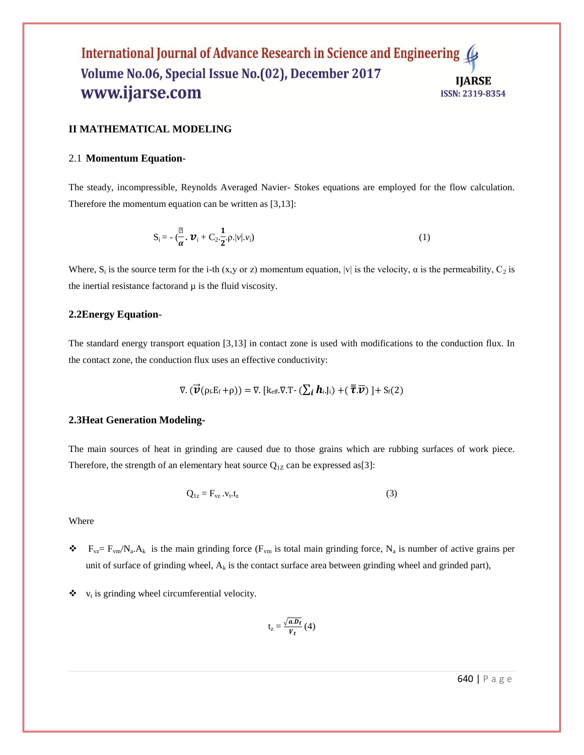#### International Journal of Advance Research in Science and Engineering Volume No.06, Special Issue No.(02), December 2017 **IIARSE** www.ijarse.com **ISSN: 2319-8354**

#### **II MATHEMATICAL MODELING**

#### 2.1 **Momentum Equation**-

The steady, incompressible, Reynolds Averaged Navier- Stokes equations are employed for the flow calculation. Therefore the momentum equation can be written as [3,13]:

$$
S_i = -(\frac{\mu}{\alpha} \cdot \boldsymbol{\mathcal{V}}_i + C_2 \cdot \frac{1}{2} \cdot \rho. |\nu| \cdot \nu_i)
$$
 (1)

Where,  $S_i$  is the source term for the i-th (x,y or z) momentum equation, |v| is the velocity,  $\alpha$  is the permeability,  $C_2$  is the inertial resistance factorand  $\mu$  is the fluid viscosity.

#### **2.2Energy Equation**-

The standard energy transport equation [3,13] in contact zone is used with modifications to the conduction flux. In the contact zone, the conduction flux uses an effective conductivity:

$$
\nabla.(\vec{\boldsymbol{v}}(\rho_f.E_f+\rho))=\nabla. [k_{eff}.\nabla. T-(\sum_i \boldsymbol{h}_i.J_i)+(\overline{\overline{\boldsymbol{\tau}}}. \overline{\boldsymbol{v}})]+S_f(2)
$$

#### **2.3Heat Generation Modeling-**

The main sources of heat in grinding are caused due to those grains which are rubbing surfaces of work piece. Therefore, the strength of an elementary heat source  $Q_{1Z}$  can be expressed as[3]:

$$
Q_{1z} = F_{vz} . v_t . t_z \tag{3}
$$

Where

- $\bullet$   $F_{vz} = F_{vm} / N_a$ . A<sub>k</sub> is the main grinding force (F<sub>vm</sub> is total main grinding force, N<sub>a</sub> is number of active grains per unit of surface of grinding wheel,  $A_k$  is the contact surface area between grinding wheel and grinded part),
- $\mathbf{\hat{v}}$  v<sub>t</sub> is grinding wheel circumferential velocity.

$$
t_{z} = \frac{\sqrt{a.D_{t}}}{V_{t}}(4)
$$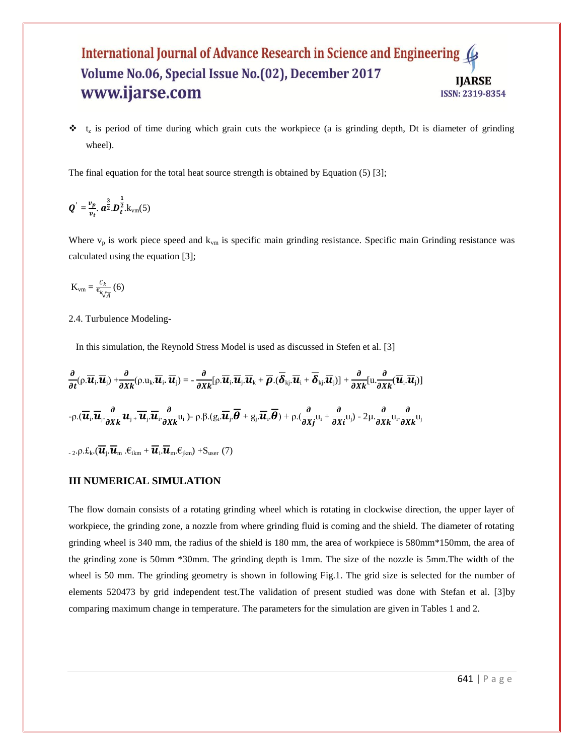#### International Journal of Advance Research in Science and Engineering 4 Volume No.06, Special Issue No.(02), December 2017 **IIARSE** www.ijarse.com **ISSN: 2319-8354**

 $\cdot \cdot$   $t_z$  is period of time during which grain cuts the workpiece (a is grinding depth, Dt is diameter of grinding wheel).

The final equation for the total heat source strength is obtained by Equation (5) [3];

$$
\boldsymbol{Q}'=\frac{v_p}{v_t}.\ \boldsymbol{a}^{\frac{3}{2}}.\boldsymbol{D}_{t}^{\frac{1}{2}}.\boldsymbol{k}_{\text{vm}}(5)
$$

Where  $v_p$  is work piece speed and  $k_{vm}$  is specific main grinding resistance. Specific main Grinding resistance was calculated using the equation [3];

$$
K_{\text{vm}} = \frac{c_k}{\epsilon_{k}/A} \tag{6}
$$

2.4. Turbulence Modeling-

In this simulation, the Reynold Stress Model is used as discussed in Stefen et al. [3]

$$
\frac{\partial}{\partial t}(\rho.\overline{\bm{u}}_i,\overline{\bm{u}}_j) + \frac{\partial}{\partial x_k}(\rho.u_k.\overline{\bm{u}}_i,\overline{\bm{u}}_j) = -\frac{\partial}{\partial x_k}[\rho.\overline{\bm{u}}_i.\overline{\bm{u}}_j.\overline{\bm{u}}_k + \overline{\rho}.\overline{(\delta_{kj}.\overline{\bm{u}}_i + \overline{\delta_{kj}}.\overline{\bm{u}}_j)] + \frac{\partial}{\partial x_k}[\mathbf{u}.\frac{\partial}{\partial x_k}(\overline{\bm{u}}_i.\overline{\bm{u}}_j)]
$$
  
-
$$
\rho.(\overline{\bm{u}}_i.\overline{\bm{u}}_j.\frac{\partial}{\partial x_k}\bm{u}_j + \overline{\bm{u}}_j.\overline{\bm{u}}_i.\frac{\partial}{\partial x_k}u_i) - \rho. \beta.(\mathbf{g}_i.\overline{\bm{u}}_j.\overline{\bm{\theta}} + \mathbf{g}_j.\overline{\bm{u}}_i.\overline{\bm{\theta}}) + \rho.(\frac{\partial}{\partial x_j}u_i + \frac{\partial}{\partial x_l}u_j) - 2\mu.\frac{\partial}{\partial x_k}u_i.\frac{\partial}{\partial x_k}u_j
$$
  
-
$$
2.\rho.f_k.(\overline{\bm{u}}_i.\overline{\bm{u}}_m.\overline{\epsilon}_{ikm} + \overline{\bm{u}}_i.\overline{\bm{u}}_m.\overline{\epsilon}_{jkm}) + S_{user}(7)
$$

#### **III NUMERICAL SIMULATION**

The flow domain consists of a rotating grinding wheel which is rotating in clockwise direction, the upper layer of workpiece, the grinding zone, a nozzle from where grinding fluid is coming and the shield. The diameter of rotating grinding wheel is 340 mm, the radius of the shield is 180 mm, the area of workpiece is 580mm\*150mm, the area of the grinding zone is 50mm \*30mm. The grinding depth is 1mm. The size of the nozzle is 5mm.The width of the wheel is 50 mm. The grinding geometry is shown in following Fig.1. The grid size is selected for the number of elements 520473 by grid independent test.The validation of present studied was done with Stefan et al. [3]by comparing maximum change in temperature. The parameters for the simulation are given in Tables 1 and 2.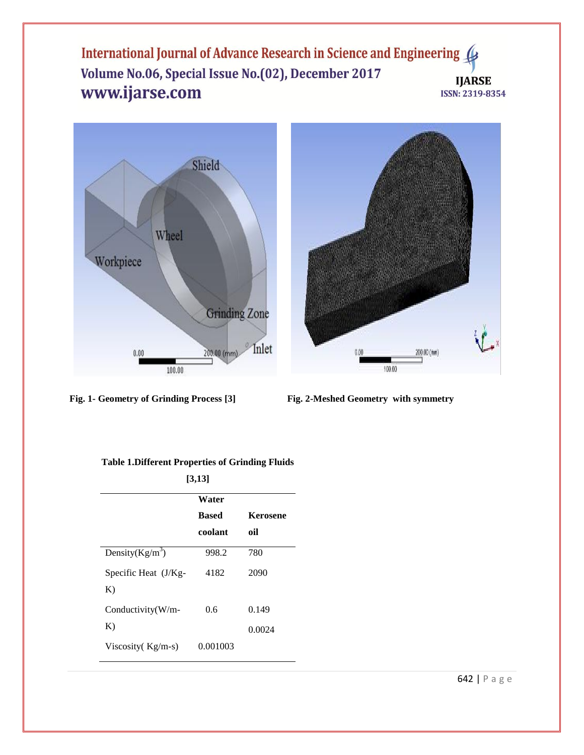International Journal of Advance Research in Science and Engineering ( Volume No.06, Special Issue No.(02), December 2017 **IJARSE** www.ijarse.com ISSN: 2319-8354



**Fig. 1- Geometry of Grinding Process [3] Fig. 2-Meshed Geometry with symmetry**

| [3,13]       |                 |
|--------------|-----------------|
| Water        |                 |
| <b>Based</b> | <b>Kerosene</b> |
| coolant      | oil             |
| 998.2        | 780             |
| 4182         | 2090            |
|              |                 |
| 0.6          | 0.149           |
|              | 0.0024          |
| 0.001003     |                 |
|              |                 |

#### **Table 1.Different Properties of Grinding Fluids**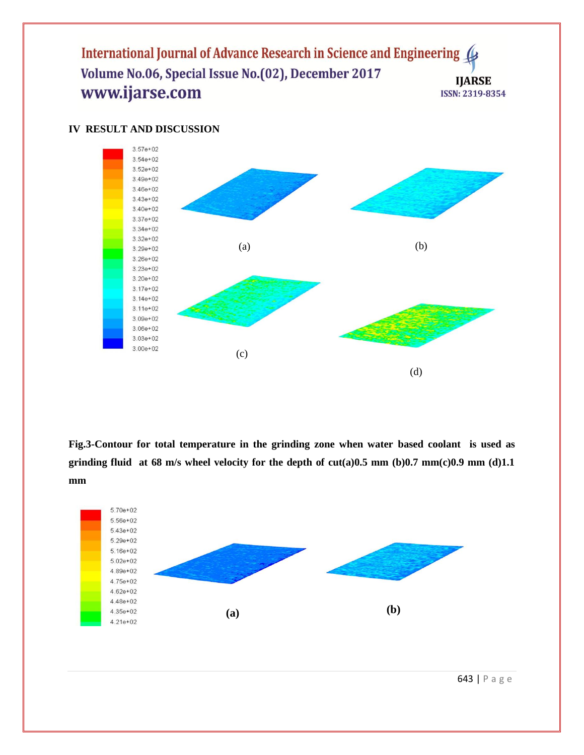# International Journal of Advance Research in Science and Engineering Volume No.06, Special Issue No.(02), December 2017 **IJARSE** www.ijarse.com ISSN: 2319-8354



# **IV RESULT AND DISCUSSION**

**Fig.3-Contour for total temperature in the grinding zone when water based coolant is used as grinding fluid at 68 m/s wheel velocity for the depth of cut(a)0.5 mm (b)0.7 mm(c)0.9 mm (d)1.1 mm**



643 | P a g e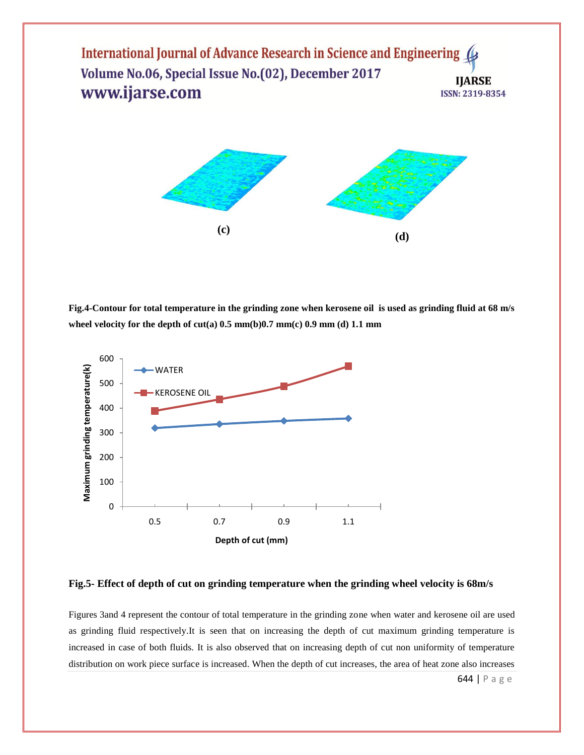International Journal of Advance Research in Science and Engineering 4 Volume No.06, Special Issue No.(02), December 2017 **IIARSE** www.ijarse.com **ISSN: 2319-8354** 



**Fig.4-Contour for total temperature in the grinding zone when kerosene oil is used as grinding fluid at 68 m/s wheel velocity for the depth of cut(a) 0.5 mm(b)0.7 mm(c) 0.9 mm (d) 1.1 mm**



#### **Fig.5- Effect of depth of cut on grinding temperature when the grinding wheel velocity is 68m/s**

Figures 3and 4 represent the contour of total temperature in the grinding zone when water and kerosene oil are used as grinding fluid respectively.It is seen that on increasing the depth of cut maximum grinding temperature is increased in case of both fluids. It is also observed that on increasing depth of cut non uniformity of temperature distribution on work piece surface is increased. When the depth of cut increases, the area of heat zone also increases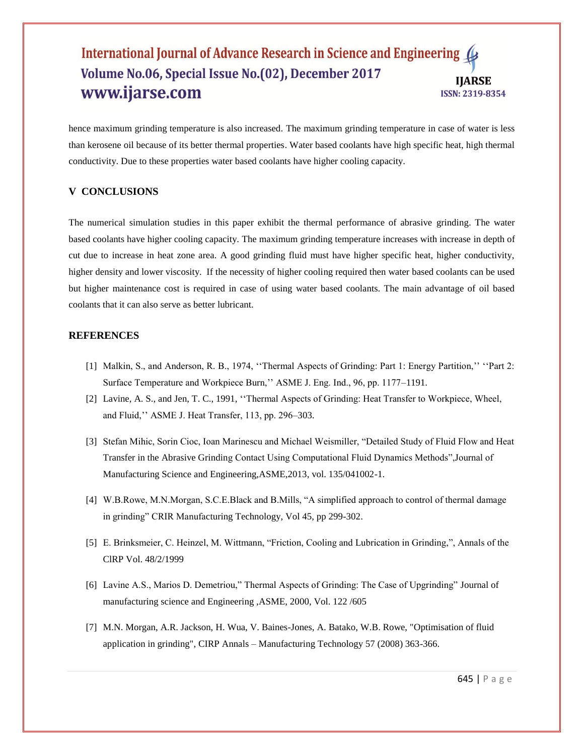#### International Journal of Advance Research in Science and Engineering ( Volume No.06, Special Issue No.(02), December 2017 **IIARSE** www.ijarse.com **ISSN: 2319-8354**

hence maximum grinding temperature is also increased. The maximum grinding temperature in case of water is less than kerosene oil because of its better thermal properties. Water based coolants have high specific heat, high thermal conductivity. Due to these properties water based coolants have higher cooling capacity.

# **V CONCLUSIONS**

The numerical simulation studies in this paper exhibit the thermal performance of abrasive grinding. The water based coolants have higher cooling capacity. The maximum grinding temperature increases with increase in depth of cut due to increase in heat zone area. A good grinding fluid must have higher specific heat, higher conductivity, higher density and lower viscosity. If the necessity of higher cooling required then water based coolants can be used but higher maintenance cost is required in case of using water based coolants. The main advantage of oil based coolants that it can also serve as better lubricant.

## **REFERENCES**

- [1] Malkin, S., and Anderson, R. B., 1974, "Thermal Aspects of Grinding: Part 1: Energy Partition," "Part 2: Surface Temperature and Workpiece Burn,"" ASME J. Eng. Ind., 96, pp. 1177–1191.
- [2] Lavine, A. S., and Jen, T. C., 1991, ""Thermal Aspects of Grinding: Heat Transfer to Workpiece, Wheel, and Fluid,"" ASME J. Heat Transfer, 113, pp. 296–303.
- [3] Stefan Mihic, Sorin Cioc, Ioan Marinescu and Michael Weismiller, "Detailed Study of Fluid Flow and Heat Transfer in the Abrasive Grinding Contact Using Computational Fluid Dynamics Methods",Journal of Manufacturing Science and Engineering,ASME,2013, vol. 135/041002-1.
- [4] W.B.Rowe, M.N.Morgan, S.C.E.Black and B.Mills, "A simplified approach to control of thermal damage in grinding" CRIR Manufacturing Technology, Vol 45, pp 299-302.
- [5] E. Brinksmeier, C. Heinzel, M. Wittmann, "Friction, Cooling and Lubrication in Grinding,", Annals of the ClRP Vol. 48/2/1999
- [6] Lavine A.S., Marios D. Demetriou," Thermal Aspects of Grinding: The Case of Upgrinding" Journal of manufacturing science and Engineering ,ASME, 2000, Vol. 122 /605
- [7] M.N. Morgan, A.R. Jackson, H. Wua, V. Baines-Jones, A. Batako, W.B. Rowe, "Optimisation of fluid application in grinding", CIRP Annals – Manufacturing Technology 57 (2008) 363-366.